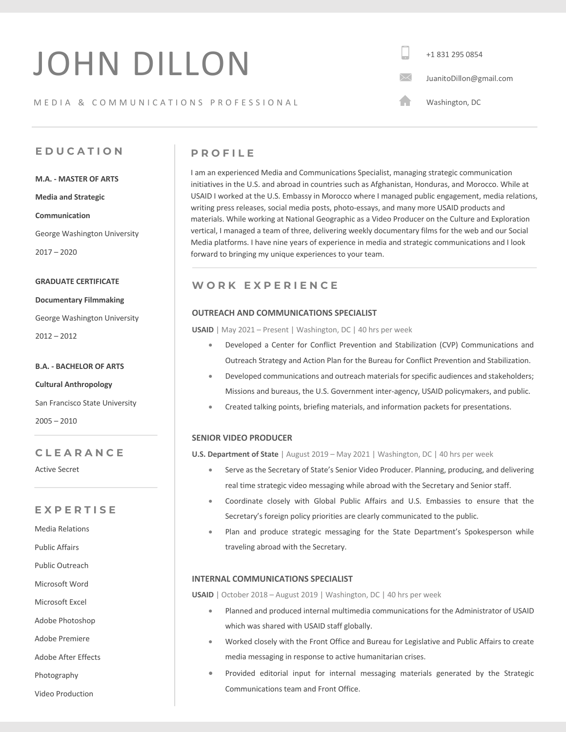# JOHN DILLON

## MEDIA & COMMUNICATIONS PROFESSIONAL

+1 831 295 0854  $\boxtimes$ JuanitoDillon@gmail.com

A Washington, DC

# **EDUCATIO N**

**M.A. - MASTER OF ARTS**

**Media and Strategic** 

**Communication**

 George Washington University 2017 – 2020

#### **GRADUATE CERTIFICATE**

**Documentary Filmmaking**

George Washington University

2012 – 2012

## **B.A. - BACHELOR OF ARTS**

**Cultural Anthropology**

San Francisco State University

2005 – 2010

# **CLEARANCE**

Active Secret

# **EXPERTISE**

Media Relations

Public Affairs

Public Outreach

Microsoft Word

Microsoft Excel

Adobe Photoshop

Adobe Premiere

Adobe After Effects

Photography

Video Production

# **PROFILE**

I am an experienced Media and Communications Specialist, managing strategic communication initiatives in the U.S. and abroad in countries such as Afghanistan, Honduras, and Morocco. While at USAID I worked at the U.S. Embassy in Morocco where I managed public engagement, media relations, writing press releases, social media posts, photo-essays, and many more USAID products and materials. While working at National Geographic as a Video Producer on the Culture and Exploration vertical, I managed a team of three, delivering weekly documentary films for the web and our Social Media platforms. I have nine years of experience in media and strategic communications and I look forward to bringing my unique experiences to your team.

# **WORK EXPERIENCE**

## **OUTREACH AND COMMUNICATIONS SPECIALIST**

**USAID** | May 2021 – Present | Washington, DC | 40 hrs per week

- Developed a Center for Conflict Prevention and Stabilization (CVP) Communications and Outreach Strategy and Action Plan for the Bureau for Conflict Prevention and Stabilization.
- Developed communications and outreach materials for specific audiences and stakeholders; Missions and bureaus, the U.S. Government inter-agency, USAID policymakers, and public.
- Created talking points, briefing materials, and information packets for presentations.

## **SENIOR VIDEO PRODUCER**

**U.S. Department of State** | August 2019 – May 2021 | Washington, DC | 40 hrs per week

- Serve as the Secretary of State's Senior Video Producer. Planning, producing, and delivering real time strategic video messaging while abroad with the Secretary and Senior staff.
- Coordinate closely with Global Public Affairs and U.S. Embassies to ensure that the Secretary's foreign policy priorities are clearly communicated to the public.
- Plan and produce strategic messaging for the State Department's Spokesperson while traveling abroad with the Secretary.

## **INTERNAL COMMUNICATIONS SPECIALIST**

**USAID** | October 2018 – August 2019 | Washington, DC | 40 hrs per week

- Planned and produced internal multimedia communications for the Administrator of USAID which was shared with USAID staff globally.
- Worked closely with the Front Office and Bureau for Legislative and Public Affairs to create media messaging in response to active humanitarian crises.
- Provided editorial input for internal messaging materials generated by the Strategic Communications team and Front Office.